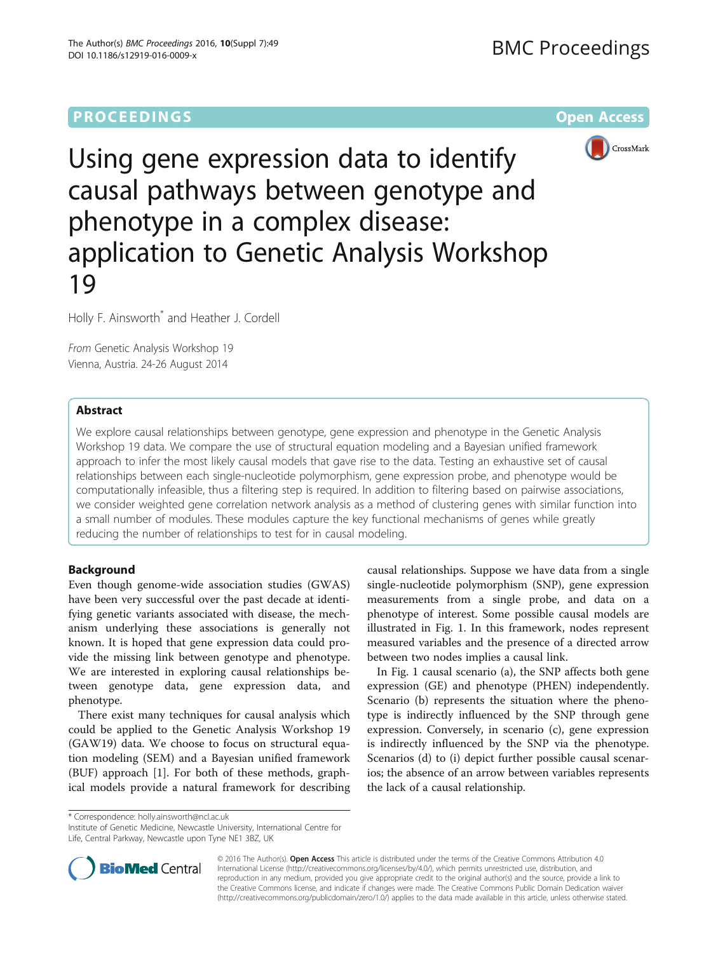

Using gene expression data to identify causal pathways between genotype and phenotype in a complex disease: application to Genetic Analysis Workshop 19

Holly F. Ainsworth<sup>\*</sup> and Heather J. Cordell

From Genetic Analysis Workshop 19 Vienna, Austria. 24-26 August 2014

# Abstract

We explore causal relationships between genotype, gene expression and phenotype in the Genetic Analysis Workshop 19 data. We compare the use of structural equation modeling and a Bayesian unified framework approach to infer the most likely causal models that gave rise to the data. Testing an exhaustive set of causal relationships between each single-nucleotide polymorphism, gene expression probe, and phenotype would be computationally infeasible, thus a filtering step is required. In addition to filtering based on pairwise associations, we consider weighted gene correlation network analysis as a method of clustering genes with similar function into a small number of modules. These modules capture the key functional mechanisms of genes while greatly reducing the number of relationships to test for in causal modeling.

# Background

Even though genome-wide association studies (GWAS) have been very successful over the past decade at identifying genetic variants associated with disease, the mechanism underlying these associations is generally not known. It is hoped that gene expression data could provide the missing link between genotype and phenotype. We are interested in exploring causal relationships between genotype data, gene expression data, and phenotype.

There exist many techniques for causal analysis which could be applied to the Genetic Analysis Workshop 19 (GAW19) data. We choose to focus on structural equation modeling (SEM) and a Bayesian unified framework (BUF) approach [\[1](#page-5-0)]. For both of these methods, graphical models provide a natural framework for describing

causal relationships. Suppose we have data from a single single-nucleotide polymorphism (SNP), gene expression measurements from a single probe, and data on a phenotype of interest. Some possible causal models are illustrated in Fig. [1.](#page-1-0) In this framework, nodes represent measured variables and the presence of a directed arrow between two nodes implies a causal link.

In Fig. [1](#page-1-0) causal scenario (a), the SNP affects both gene expression (GE) and phenotype (PHEN) independently. Scenario (b) represents the situation where the phenotype is indirectly influenced by the SNP through gene expression. Conversely, in scenario (c), gene expression is indirectly influenced by the SNP via the phenotype. Scenarios (d) to (i) depict further possible causal scenarios; the absence of an arrow between variables represents the lack of a causal relationship.

\* Correspondence: [holly.ainsworth@ncl.ac.uk](mailto:holly.ainsworth@ncl.ac.uk)

Institute of Genetic Medicine, Newcastle University, International Centre for Life, Central Parkway, Newcastle upon Tyne NE1 3BZ, UK



© 2016 The Author(s). Open Access This article is distributed under the terms of the Creative Commons Attribution 4.0 International License [\(http://creativecommons.org/licenses/by/4.0/](http://creativecommons.org/licenses/by/4.0/)), which permits unrestricted use, distribution, and reproduction in any medium, provided you give appropriate credit to the original author(s) and the source, provide a link to the Creative Commons license, and indicate if changes were made. The Creative Commons Public Domain Dedication waiver [\(http://creativecommons.org/publicdomain/zero/1.0/](http://creativecommons.org/publicdomain/zero/1.0/)) applies to the data made available in this article, unless otherwise stated.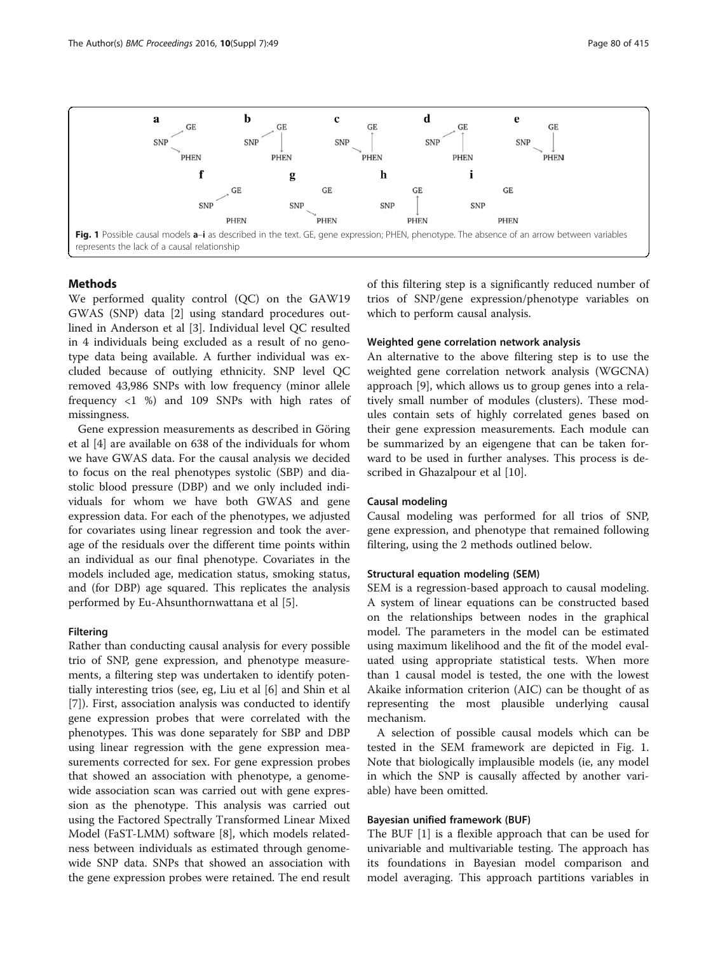<span id="page-1-0"></span>

## Methods

We performed quality control (QC) on the GAW19 GWAS (SNP) data [[2](#page-5-0)] using standard procedures outlined in Anderson et al [[3\]](#page-5-0). Individual level QC resulted in 4 individuals being excluded as a result of no genotype data being available. A further individual was excluded because of outlying ethnicity. SNP level QC removed 43,986 SNPs with low frequency (minor allele frequency <1 %) and 109 SNPs with high rates of missingness.

Gene expression measurements as described in Göring et al [[4](#page-5-0)] are available on 638 of the individuals for whom we have GWAS data. For the causal analysis we decided to focus on the real phenotypes systolic (SBP) and diastolic blood pressure (DBP) and we only included individuals for whom we have both GWAS and gene expression data. For each of the phenotypes, we adjusted for covariates using linear regression and took the average of the residuals over the different time points within an individual as our final phenotype. Covariates in the models included age, medication status, smoking status, and (for DBP) age squared. This replicates the analysis performed by Eu-Ahsunthornwattana et al [\[5\]](#page-5-0).

#### Filtering

Rather than conducting causal analysis for every possible trio of SNP, gene expression, and phenotype measurements, a filtering step was undertaken to identify potentially interesting trios (see, eg, Liu et al [[6](#page-5-0)] and Shin et al [[7\]](#page-5-0)). First, association analysis was conducted to identify gene expression probes that were correlated with the phenotypes. This was done separately for SBP and DBP using linear regression with the gene expression measurements corrected for sex. For gene expression probes that showed an association with phenotype, a genomewide association scan was carried out with gene expression as the phenotype. This analysis was carried out using the Factored Spectrally Transformed Linear Mixed Model (FaST-LMM) software [[8\]](#page-5-0), which models relatedness between individuals as estimated through genomewide SNP data. SNPs that showed an association with the gene expression probes were retained. The end result of this filtering step is a significantly reduced number of trios of SNP/gene expression/phenotype variables on which to perform causal analysis.

## Weighted gene correlation network analysis

An alternative to the above filtering step is to use the weighted gene correlation network analysis (WGCNA) approach [[9](#page-5-0)], which allows us to group genes into a relatively small number of modules (clusters). These modules contain sets of highly correlated genes based on their gene expression measurements. Each module can be summarized by an eigengene that can be taken forward to be used in further analyses. This process is described in Ghazalpour et al [[10\]](#page-5-0).

## Causal modeling

Causal modeling was performed for all trios of SNP, gene expression, and phenotype that remained following filtering, using the 2 methods outlined below.

### Structural equation modeling (SEM)

SEM is a regression-based approach to causal modeling. A system of linear equations can be constructed based on the relationships between nodes in the graphical model. The parameters in the model can be estimated using maximum likelihood and the fit of the model evaluated using appropriate statistical tests. When more than 1 causal model is tested, the one with the lowest Akaike information criterion (AIC) can be thought of as representing the most plausible underlying causal mechanism.

A selection of possible causal models which can be tested in the SEM framework are depicted in Fig. 1. Note that biologically implausible models (ie, any model in which the SNP is causally affected by another variable) have been omitted.

## Bayesian unified framework (BUF)

The BUF [[1](#page-5-0)] is a flexible approach that can be used for univariable and multivariable testing. The approach has its foundations in Bayesian model comparison and model averaging. This approach partitions variables in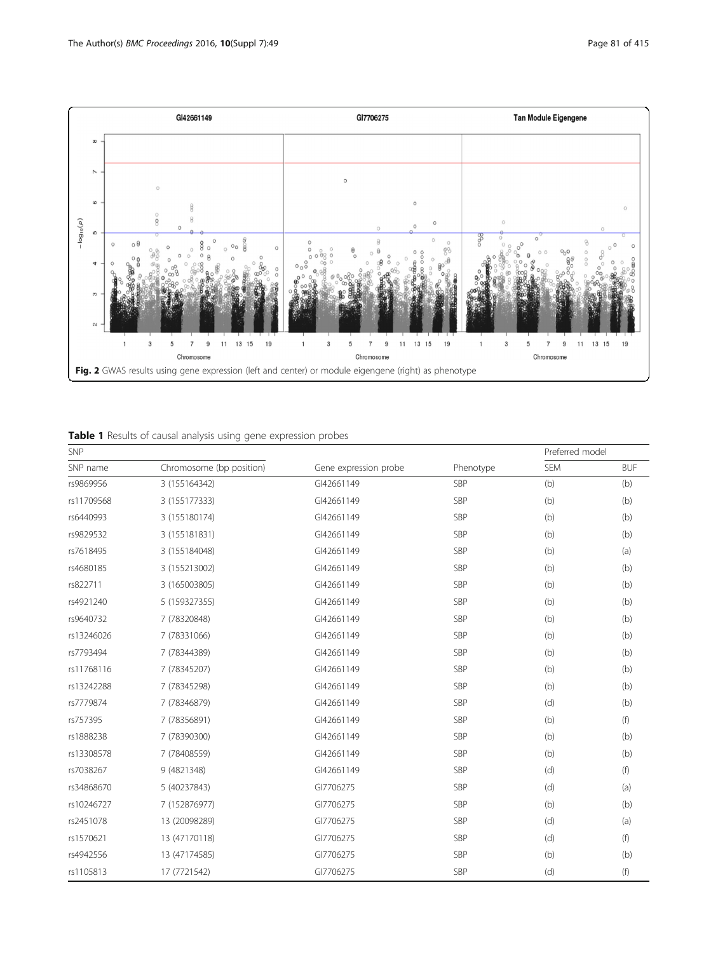<span id="page-2-0"></span>

Table 1 Results of causal analysis using gene expression probes

| SNP        |                          |                       |           | Preferred model |            |
|------------|--------------------------|-----------------------|-----------|-----------------|------------|
| SNP name   | Chromosome (bp position) | Gene expression probe | Phenotype | SEM             | <b>BUF</b> |
| rs9869956  | 3 (155164342)            | GI42661149            | SBP       | (b)             | (b)        |
| rs11709568 | 3 (155177333)            | GI42661149            | SBP       | (b)             | (b)        |
| rs6440993  | 3 (155180174)            | GI42661149            | SBP       | (b)             | (b)        |
| rs9829532  | 3 (155181831)            | GI42661149            | SBP       | (b)             | (b)        |
| rs7618495  | 3 (155184048)            | GI42661149            | SBP       | (b)             | (a)        |
| rs4680185  | 3 (155213002)            | GI42661149            | SBP       | (b)             | (b)        |
| rs822711   | 3 (165003805)            | GI42661149            | SBP       | (b)             | (b)        |
| rs4921240  | 5 (159327355)            | GI42661149            | SBP       | (b)             | (b)        |
| rs9640732  | 7 (78320848)             | GI42661149            | SBP       | (b)             | (b)        |
| rs13246026 | 7 (78331066)             | GI42661149            | SBP       | (b)             | (b)        |
| rs7793494  | 7 (78344389)             | GI42661149            | SBP       | (b)             | (b)        |
| rs11768116 | 7 (78345207)             | GI42661149            | SBP       | (b)             | (b)        |
| rs13242288 | 7 (78345298)             | GI42661149            | SBP       | (b)             | (b)        |
| rs7779874  | 7 (78346879)             | GI42661149            | SBP       | (d)             | (b)        |
| rs757395   | 7 (78356891)             | GI42661149            | SBP       | (b)             | (f)        |
| rs1888238  | 7 (78390300)             | GI42661149            | SBP       | (b)             | (b)        |
| rs13308578 | 7 (78408559)             | GI42661149            | SBP       | (b)             | (b)        |
| rs7038267  | 9 (4821348)              | GI42661149            | SBP       | (d)             | (f)        |
| rs34868670 | 5 (40237843)             | GI7706275             | SBP       | (d)             | (a)        |
| rs10246727 | 7 (152876977)            | GI7706275             | SBP       | (b)             | (b)        |
| rs2451078  | 13 (20098289)            | GI7706275             | SBP       | (d)             | (a)        |
| rs1570621  | 13 (47170118)            | GI7706275             | SBP       | (d)             | (f)        |
| rs4942556  | 13 (47174585)            | GI7706275             | SBP       | (b)             | (b)        |
| rs1105813  | 17 (7721542)             | GI7706275             | SBP       | (d)             | (f)        |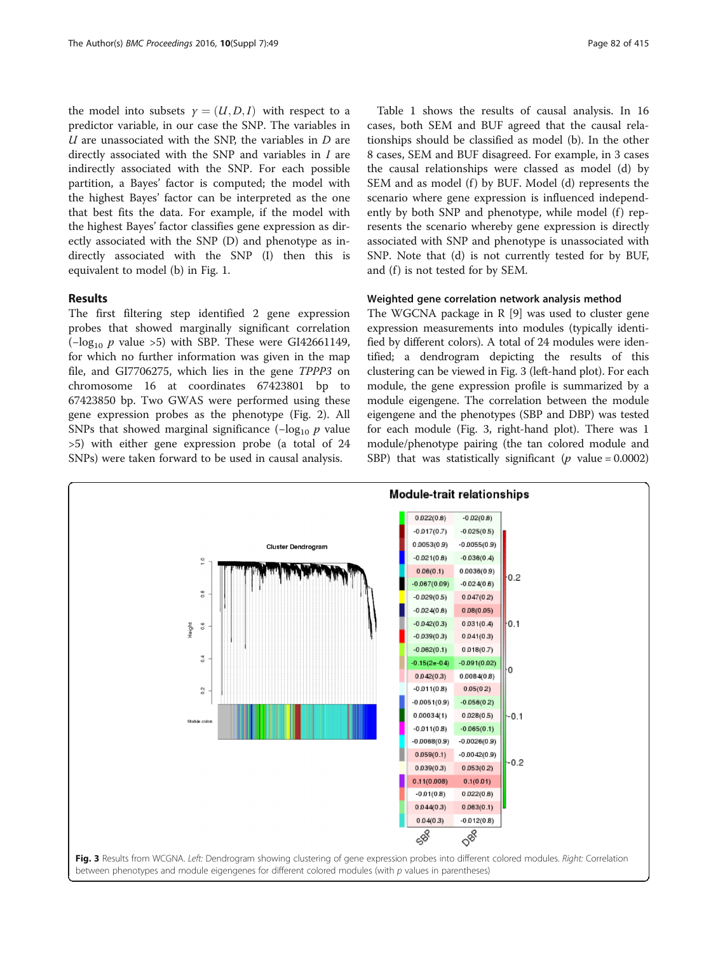the model into subsets  $\gamma = (U, D, I)$  with respect to a predictor variable, in our case the SNP. The variables in  $U$  are unassociated with the SNP, the variables in  $D$  are directly associated with the SNP and variables in I are indirectly associated with the SNP. For each possible partition, a Bayes' factor is computed; the model with the highest Bayes' factor can be interpreted as the one that best fits the data. For example, if the model with the highest Bayes' factor classifies gene expression as directly associated with the SNP (D) and phenotype as indirectly associated with the SNP (I) then this is equivalent to model (b) in Fig. [1.](#page-1-0)

## Results

The first filtering step identified 2 gene expression probes that showed marginally significant correlation  $(-\log_{10} p \text{ value } >5)$  with SBP. These were GI42661149, for which no further information was given in the map file, and GI7706275, which lies in the gene TPPP3 on chromosome 16 at coordinates 67423801 bp to 67423850 bp. Two GWAS were performed using these gene expression probes as the phenotype (Fig. [2](#page-2-0)). All SNPs that showed marginal significance  $(-\log_{10} p \text{ value})$ >5) with either gene expression probe (a total of 24 SNPs) were taken forward to be used in causal analysis.

Table [1](#page-2-0) shows the results of causal analysis. In 16 cases, both SEM and BUF agreed that the causal relationships should be classified as model (b). In the other 8 cases, SEM and BUF disagreed. For example, in 3 cases the causal relationships were classed as model (d) by SEM and as model (f) by BUF. Model (d) represents the scenario where gene expression is influenced independently by both SNP and phenotype, while model  $(f)$  represents the scenario whereby gene expression is directly associated with SNP and phenotype is unassociated with SNP. Note that (d) is not currently tested for by BUF, and  $(f)$  is not tested for by SEM.

#### Weighted gene correlation network analysis method

The WGCNA package in R [[9](#page-5-0)] was used to cluster gene expression measurements into modules (typically identified by different colors). A total of 24 modules were identified; a dendrogram depicting the results of this clustering can be viewed in Fig. 3 (left-hand plot). For each module, the gene expression profile is summarized by a module eigengene. The correlation between the module eigengene and the phenotypes (SBP and DBP) was tested for each module (Fig. 3, right-hand plot). There was 1 module/phenotype pairing (the tan colored module and SBP) that was statistically significant ( $p$  value = 0.0002)

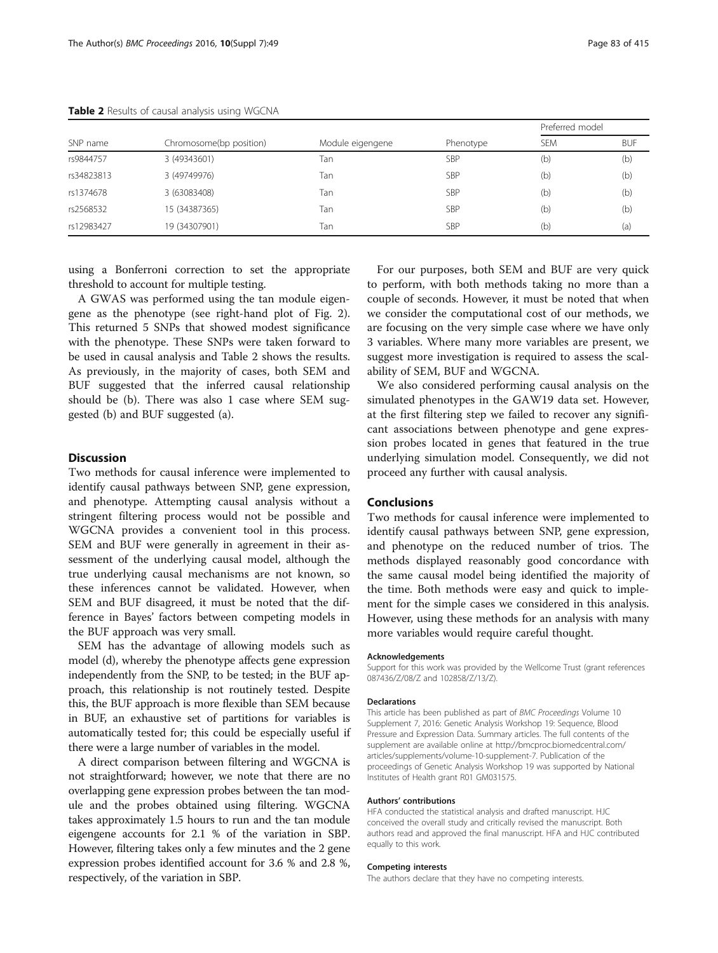| SNP name   | Chromosome(bp position) | Module eigengene | Phenotype  | Preferred model |            |
|------------|-------------------------|------------------|------------|-----------------|------------|
|            |                         |                  |            | <b>SEM</b>      | <b>BUF</b> |
| rs9844757  | 3 (49343601)            | Tan              | <b>SBP</b> | (b)             | (b)        |
| rs34823813 | 3 (49749976)            | Tan              | <b>SBP</b> | (b)             | (b)        |
| rs1374678  | 3 (63083408)            | Tan              | <b>SBP</b> | (b)             | (b)        |
| rs2568532  | 15 (34387365)           | Tan              | <b>SBP</b> | (b)             | (b)        |
| rs12983427 | 19 (34307901)           | Tan              | <b>SBP</b> | (b)             | (a)        |

Table 2 Results of causal analysis using WGCNA

using a Bonferroni correction to set the appropriate threshold to account for multiple testing.

A GWAS was performed using the tan module eigengene as the phenotype (see right-hand plot of Fig. [2](#page-2-0)). This returned 5 SNPs that showed modest significance with the phenotype. These SNPs were taken forward to be used in causal analysis and Table 2 shows the results. As previously, in the majority of cases, both SEM and BUF suggested that the inferred causal relationship should be (b). There was also 1 case where SEM suggested (b) and BUF suggested (a).

## **Discussion**

Two methods for causal inference were implemented to identify causal pathways between SNP, gene expression, and phenotype. Attempting causal analysis without a stringent filtering process would not be possible and WGCNA provides a convenient tool in this process. SEM and BUF were generally in agreement in their assessment of the underlying causal model, although the true underlying causal mechanisms are not known, so these inferences cannot be validated. However, when SEM and BUF disagreed, it must be noted that the difference in Bayes' factors between competing models in the BUF approach was very small.

SEM has the advantage of allowing models such as model (d), whereby the phenotype affects gene expression independently from the SNP, to be tested; in the BUF approach, this relationship is not routinely tested. Despite this, the BUF approach is more flexible than SEM because in BUF, an exhaustive set of partitions for variables is automatically tested for; this could be especially useful if there were a large number of variables in the model.

A direct comparison between filtering and WGCNA is not straightforward; however, we note that there are no overlapping gene expression probes between the tan module and the probes obtained using filtering. WGCNA takes approximately 1.5 hours to run and the tan module eigengene accounts for 2.1 % of the variation in SBP. However, filtering takes only a few minutes and the 2 gene expression probes identified account for 3.6 % and 2.8 %, respectively, of the variation in SBP.

For our purposes, both SEM and BUF are very quick to perform, with both methods taking no more than a couple of seconds. However, it must be noted that when we consider the computational cost of our methods, we are focusing on the very simple case where we have only 3 variables. Where many more variables are present, we suggest more investigation is required to assess the scalability of SEM, BUF and WGCNA.

We also considered performing causal analysis on the simulated phenotypes in the GAW19 data set. However, at the first filtering step we failed to recover any significant associations between phenotype and gene expression probes located in genes that featured in the true underlying simulation model. Consequently, we did not proceed any further with causal analysis.

# Conclusions

Two methods for causal inference were implemented to identify causal pathways between SNP, gene expression, and phenotype on the reduced number of trios. The methods displayed reasonably good concordance with the same causal model being identified the majority of the time. Both methods were easy and quick to implement for the simple cases we considered in this analysis. However, using these methods for an analysis with many more variables would require careful thought.

#### Acknowledgements

Support for this work was provided by the Wellcome Trust (grant references 087436/Z/08/Z and 102858/Z/13/Z).

#### Declarations

This article has been published as part of BMC Proceedings Volume 10 Supplement 7, 2016: Genetic Analysis Workshop 19: Sequence, Blood Pressure and Expression Data. Summary articles. The full contents of the supplement are available online at [http://bmcproc.biomedcentral.com/](http://bmcproc.biomedcentral.com/articles/supplements/volume-10-supplement-7) [articles/supplements/volume-10-supplement-7.](http://bmcproc.biomedcentral.com/articles/supplements/volume-10-supplement-7) Publication of the proceedings of Genetic Analysis Workshop 19 was supported by National Institutes of Health grant R01 GM031575.

#### Authors' contributions

HFA conducted the statistical analysis and drafted manuscript. HJC conceived the overall study and critically revised the manuscript. Both authors read and approved the final manuscript. HFA and HJC contributed equally to this work.

#### Competing interests

The authors declare that they have no competing interests.